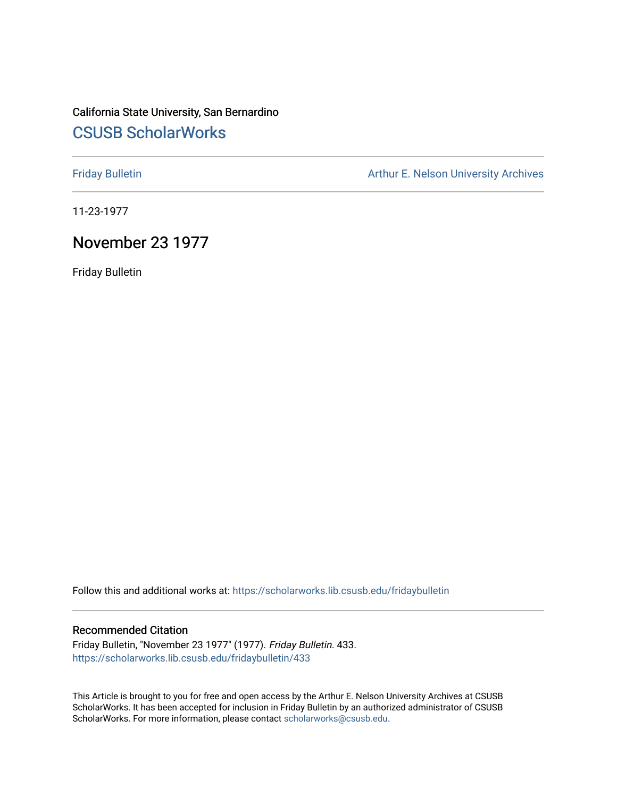## California State University, San Bernardino [CSUSB ScholarWorks](https://scholarworks.lib.csusb.edu/)

[Friday Bulletin](https://scholarworks.lib.csusb.edu/fridaybulletin) **Arthur E. Nelson University Archives** Arthur E. Nelson University Archives

11-23-1977

## November 23 1977

Friday Bulletin

Follow this and additional works at: [https://scholarworks.lib.csusb.edu/fridaybulletin](https://scholarworks.lib.csusb.edu/fridaybulletin?utm_source=scholarworks.lib.csusb.edu%2Ffridaybulletin%2F433&utm_medium=PDF&utm_campaign=PDFCoverPages)

## Recommended Citation

Friday Bulletin, "November 23 1977" (1977). Friday Bulletin. 433. [https://scholarworks.lib.csusb.edu/fridaybulletin/433](https://scholarworks.lib.csusb.edu/fridaybulletin/433?utm_source=scholarworks.lib.csusb.edu%2Ffridaybulletin%2F433&utm_medium=PDF&utm_campaign=PDFCoverPages)

This Article is brought to you for free and open access by the Arthur E. Nelson University Archives at CSUSB ScholarWorks. It has been accepted for inclusion in Friday Bulletin by an authorized administrator of CSUSB ScholarWorks. For more information, please contact [scholarworks@csusb.edu.](mailto:scholarworks@csusb.edu)